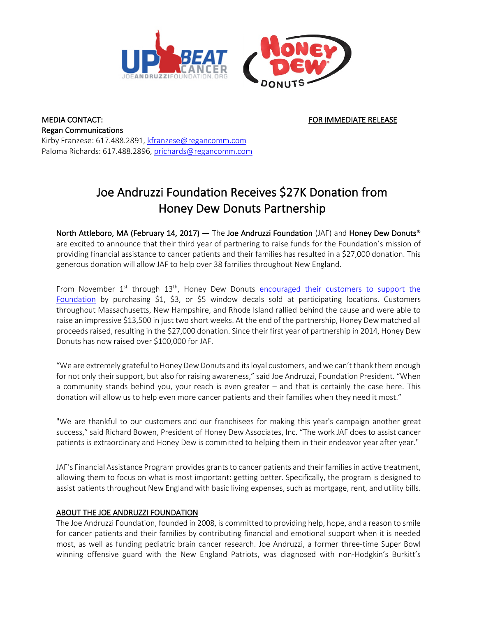

MEDIA CONTACT: THE SECOND OF STREET AND THE SECOND MEDIATE RELEASE AND THE SECOND MEDIATE RELEASE Regan Communications Kirby Franzese: 617.488.2891, kfranzese@regancomm.com Paloma Richards: 617.488.2896, prichards@regancomm.com

## Joe Andruzzi Foundation Receives \$27K Donation from Honey Dew Donuts Partnership

North Attleboro, MA (February 14, 2017) — The Joe Andruzzi Foundation (JAF) and Honey Dew Donuts® are excited to announce that their third year of partnering to raise funds for the Foundation's mission of providing financial assistance to cancer patients and their families has resulted in a \$27,000 donation. This generous donation will allow JAF to help over 38 families throughout New England.

From November  $1^{st}$  through  $13^{th}$ , Honey Dew Donuts encouraged their customers to support the Foundation by purchasing \$1, \$3, or \$5 window decals sold at participating locations. Customers throughout Massachusetts, New Hampshire, and Rhode Island rallied behind the cause and were able to raise an impressive \$13,500 in just two short weeks. At the end of the partnership, Honey Dew matched all proceeds raised, resulting in the \$27,000 donation. Since their first year of partnership in 2014, Honey Dew Donuts has now raised over \$100,000 for JAF.

"We are extremely grateful to Honey Dew Donuts and its loyal customers, and we can't thank them enough for not only their support, but also for raising awareness," said Joe Andruzzi, Foundation President. "When a community stands behind you, your reach is even greater – and that is certainly the case here. This donation will allow us to help even more cancer patients and their families when they need it most."

"We are thankful to our customers and our franchisees for making this year's campaign another great success," said Richard Bowen, President of Honey Dew Associates, Inc. "The work JAF does to assist cancer patients is extraordinary and Honey Dew is committed to helping them in their endeavor year after year."

JAF's Financial Assistance Program provides grants to cancer patients and their families in active treatment, allowing them to focus on what is most important: getting better. Specifically, the program is designed to assist patients throughout New England with basic living expenses, such as mortgage, rent, and utility bills.

## ABOUT THE JOE ANDRUZZI FOUNDATION

The Joe Andruzzi Foundation, founded in 2008, is committed to providing help, hope, and a reason to smile for cancer patients and their families by contributing financial and emotional support when it is needed most, as well as funding pediatric brain cancer research. Joe Andruzzi, a former three-time Super Bowl winning offensive guard with the New England Patriots, was diagnosed with non-Hodgkin's Burkitt's